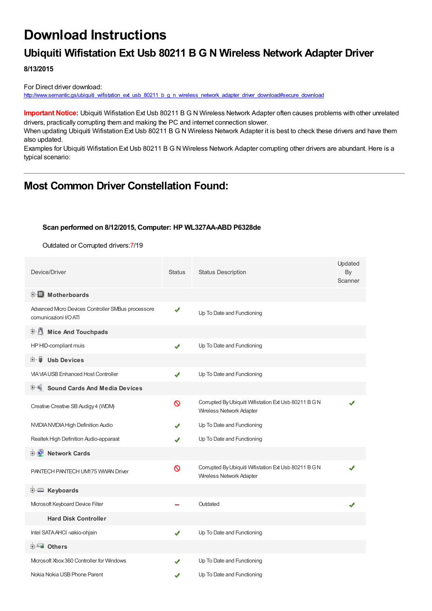# **Download Instructions**

## **Ubiquiti Wifistation Ext Usb 80211 B G N Wireless Network Adapter Driver**

**8/13/2015**

For Direct driver download: [http://www.semantic.gs/ubiquiti\\_wifistation\\_ext\\_usb\\_80211\\_b\\_g\\_n\\_wireless\\_network\\_adapter\\_driver\\_download#secure\\_download](http://www.semantic.gs/ubiquiti_wifistation_ext_usb_80211_b_g_n_wireless_network_adapter_driver_download#secure_download)

**Important Notice:** Ubiquiti Wifistation Ext Usb 80211 B G N Wireless Network Adapter often causes problems with other unrelated drivers, practically corrupting them and making the PC and internet connection slower.

When updating Ubiquiti Wifistation Ext Usb 80211 B G N Wireless Network Adapter it is best to check these drivers and have them also updated.

Examples for Ubiquiti Wifistation Ext Usb 80211 B G N Wireless Network Adapter corrupting other drivers are abundant. Here is a typical scenario:

### **Most Common Driver Constellation Found:**

#### **Scan performed on 8/12/2015, Computer: HP WL327AA-ABD P6328de**

Outdated or Corrupted drivers:7/19

| Device/Driver                                                               | <b>Status</b> | <b>Status Description</b>                                                         | Updated<br>By<br>Scanner |
|-----------------------------------------------------------------------------|---------------|-----------------------------------------------------------------------------------|--------------------------|
| <b>E</b> Motherboards                                                       |               |                                                                                   |                          |
| Advanced Micro Devices Controller SMBus processore<br>comunicazioni I/O ATI | ✔             | Up To Date and Functioning                                                        |                          |
| 中心 Mice And Touchpads                                                       |               |                                                                                   |                          |
| HP HID-compliant muis                                                       | J             | Up To Date and Functioning                                                        |                          |
| 田一員<br><b>Usb Devices</b>                                                   |               |                                                                                   |                          |
| <b>VIA VIA USB Enhanced Host Controller</b>                                 | ✔             | Up To Date and Functioning                                                        |                          |
| <b>Sound Cards And Media Devices</b>                                        |               |                                                                                   |                          |
| Creative Creative SB Audigy 4 (WDM)                                         | ଷ             | Corrupted By Ubiquiti Wifistation Ext Usb 80211 B G N<br>Wireless Network Adapter |                          |
| NVIDIA NVIDIA High Definition Audio                                         |               | Up To Date and Functioning                                                        |                          |
| Realtek High Definition Audio-apparaat                                      | J             | Up To Date and Functioning                                                        |                          |
| <b>E</b> Network Cards                                                      |               |                                                                                   |                          |
| PANTECH PANTECH UM175 WWAN Driver                                           | Ø             | Corrupted By Ubiquiti Wifistation Ext Usb 80211 B G N<br>Wireless Network Adapter |                          |
| E Keyboards                                                                 |               |                                                                                   |                          |
| Microsoft Keyboard Device Filter                                            |               | Outdated                                                                          |                          |
| <b>Hard Disk Controller</b>                                                 |               |                                                                                   |                          |
| Intel SATA AHCI -vakio-ohjain                                               | J             | Up To Date and Functioning                                                        |                          |
| <b>E</b> Others                                                             |               |                                                                                   |                          |
| Microsoft Xbox 360 Controller for Windows                                   |               | Up To Date and Functioning                                                        |                          |
| Nokia Nokia USB Phone Parent                                                | √             | Up To Date and Functioning                                                        |                          |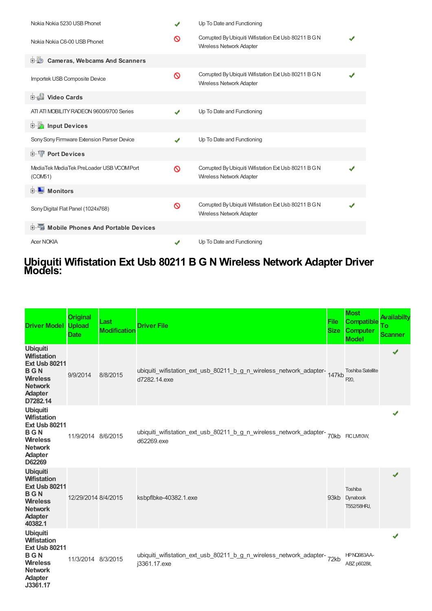| Nokia Nokia 5230 USB Phonet                          | ✔        | Up To Date and Functioning                                                               |  |
|------------------------------------------------------|----------|------------------------------------------------------------------------------------------|--|
| Nokia Nokia C6-00 USB Phonet                         | ര        | Corrupted By Ubiquiti Wifistation Ext Usb 80211 B G N<br><b>Wireless Network Adapter</b> |  |
| <b>Cameras, Webcams And Scanners</b><br>由心           |          |                                                                                          |  |
| Importek USB Composite Device                        | ∾        | Corrupted By Ubiquiti Wifistation Ext Usb 80211 B G N<br><b>Wireless Network Adapter</b> |  |
| Uideo Cards                                          |          |                                                                                          |  |
| ATI ATI MOBILITY RADEON 9600/9700 Series             | J        | Up To Date and Functioning                                                               |  |
| <b>Devices</b> Input Devices                         |          |                                                                                          |  |
| Sony Sony Firmware Extension Parser Device           | J        | Up To Date and Functioning                                                               |  |
| <b>E-TP</b> Port Devices                             |          |                                                                                          |  |
| MediaTek MediaTek PreLoader USB VCOM Port<br>(COM51) | $\infty$ | Corrupted By Ubiquiti Wifistation Ext Usb 80211 B G N<br>Wireless Network Adapter        |  |
| <b>E</b> Monitors                                    |          |                                                                                          |  |
| Sony Digital Flat Panel (1024x768)                   | $\infty$ | Corrupted By Ubiquiti Wifistation Ext Usb 80211 B G N<br>Wireless Network Adapter        |  |
| <b>E-5</b> Mobile Phones And Portable Devices        |          |                                                                                          |  |
| <b>Acer NOKIA</b>                                    |          | Up To Date and Functioning                                                               |  |

### **Ubiquiti Wifistation Ext Usb 80211 B G N Wireless Network Adapter Driver Models:**

| <b>Driver Model</b>                                                                                                                            | <b>Original</b><br><b>Upload</b><br><b>Date</b> | Last<br><b>Modification</b> | <b>Driver File</b>                                                                                | <b>File</b><br><b>Size</b> | <b>Most</b><br><b>Compatible</b><br><b>Computer</b><br><b>Model</b> | <b>Availabilty</b><br>Тo<br><b>Scanner</b> |
|------------------------------------------------------------------------------------------------------------------------------------------------|-------------------------------------------------|-----------------------------|---------------------------------------------------------------------------------------------------|----------------------------|---------------------------------------------------------------------|--------------------------------------------|
| <b>Ubiquiti</b><br><b>Wifistation</b><br><b>Ext Usb 80211</b><br><b>BGN</b><br><b>Wireless</b><br><b>Network</b><br><b>Adapter</b><br>D7282.14 | 9/9/2014                                        | 8/8/2015                    | ubiquiti_wifistation_ext_usb_80211_b_g_n_wireless_network_adapter-<br>147kb<br>d7282.14.exe       |                            | <b>Toshiba Satellite</b><br>P <sub>20</sub>                         | ✔                                          |
| <b>Ubiquiti</b><br><b>Wifistation</b><br><b>Ext Usb 80211</b><br><b>BGN</b><br><b>Wireless</b><br><b>Network</b><br>Adapter<br>D62269          | 11/9/2014 8/6/2015                              |                             | ubiquiti_wifistation_ext_usb_80211_b_g_n_wireless_network_adapter-<br>70kb FICLM0W,<br>d62269.exe |                            |                                                                     |                                            |
| <b>Ubiquiti</b><br><b>Wifistation</b><br><b>Ext Usb 80211</b><br><b>BGN</b><br><b>Wireless</b><br><b>Network</b><br><b>Adapter</b><br>40382.1  | 12/29/2014 8/4/2015                             |                             | ksbpflbke-40382.1.exe                                                                             | 93kb                       | Toshiba<br>Dynabook<br>T552/58HRJ,                                  | ✔                                          |
| <b>Ubiquiti</b><br><b>Wifistation</b><br><b>Ext Usb 80211</b><br><b>BGN</b><br><b>Wireless</b><br><b>Network</b><br>Adapter<br>J3361.17        | 11/3/2014 8/3/2015                              |                             | ubiquiti_wifistation_ext_usb_80211_b_g_n_wireless_network_adapter-<br>72kb<br>j3361.17.exe        |                            | HPNQ983AA-<br>ABZ p6028it,                                          |                                            |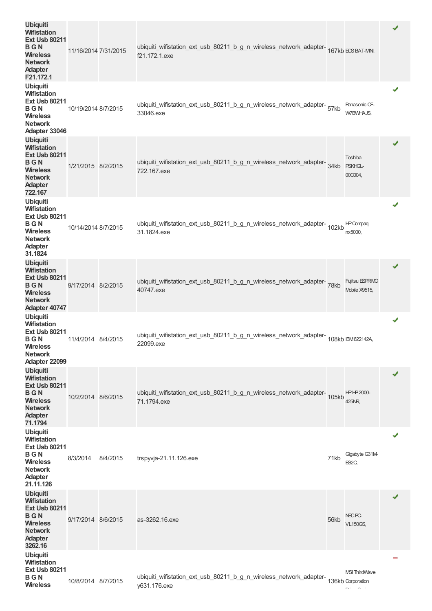| <b>Ubiquiti</b><br><b>Wifistation</b><br><b>Ext Usb 80211</b><br><b>BGN</b><br><b>Wireless</b><br><b>Network</b><br><b>Adapter</b><br>F21.172.1 | 11/16/2014 7/31/2015 |          | ubiquiti_wifistation_ext_usb_80211_b_g_n_wireless_network_adapter-<br>167kb ECSBAT-MN,<br>f21.172.1.exe |      |                                      | ✔ |
|-------------------------------------------------------------------------------------------------------------------------------------------------|----------------------|----------|---------------------------------------------------------------------------------------------------------|------|--------------------------------------|---|
| <b>Ubiquiti</b><br><b>Wifistation</b><br><b>Ext Usb 80211</b><br>BGN<br><b>Wireless</b><br><b>Network</b><br>Adapter 33046                      | 10/19/2014 8/7/2015  |          | ubiquiti_wifistation_ext_usb_80211_b_g_n_wireless_network_adapter-<br>57kb<br>33046.exe                 |      | Panasonic CF-<br>W7BWHAJS,           | ✔ |
| <b>Ubiquiti</b><br><b>Wifistation</b><br><b>Ext Usb 80211</b><br>BGN<br><b>Wireless</b><br><b>Network</b><br><b>Adapter</b><br>722.167          | 1/21/2015 8/2/2015   |          | ubiquiti_wifistation_ext_usb_80211_b_g_n_wireless_network_adapter-<br>34kb<br>722.167.exe               |      | Toshiba<br>PSKHGL-<br>00C004,        | ✔ |
| <b>Ubiquiti</b><br><b>Wifistation</b><br><b>Ext Usb 80211</b><br><b>BGN</b><br><b>Wireless</b><br><b>Network</b><br><b>Adapter</b><br>31.1824   | 10/14/2014 8/7/2015  |          | ubiquiti_wifistation_ext_usb_80211_b_g_n_wireless_network_adapter-<br>102kb<br>31.1824.exe              |      | <b>HP</b> Compaq<br>nx5000,          | ✔ |
| <b>Ubiquiti</b><br><b>Wifistation</b><br><b>Ext Usb 80211</b><br><b>BGN</b><br><b>Wireless</b><br><b>Network</b><br>Adapter 40747               | 9/17/2014 8/2/2015   |          | ubiquiti_wifistation_ext_usb_80211_b_g_n_wireless_network_adapter-78kb<br>40747.exe                     |      | Fujitsu ESPRIMO<br>Mobile X9515,     | ✔ |
| <b>Ubiquiti</b><br><b>Wifistation</b><br><b>Ext Usb 80211</b><br><b>BGN</b><br><b>Wireless</b><br><b>Network</b><br>Adapter 22099               | 11/4/2014 8/4/2015   |          | ubiquiti_wifistation_ext_usb_80211_b_g_n_wireless_network_adapter-<br>108kb IBM622142A,<br>22099.exe    |      |                                      | ✔ |
| <b>Ubiquiti</b><br><b>Wifistation</b><br><b>Ext Usb 80211</b><br><b>BGN</b><br><b>Wireless</b><br><b>Network</b><br><b>Adapter</b><br>71.1794   | 10/2/2014 8/6/2015   |          | ubiquiti_wifistation_ext_usb_80211_b_g_n_wireless_network_adapter-<br>105kb<br>71.1794.exe              |      | <b>HPHP2000-</b><br>425NR            | ✔ |
| <b>Ubiquiti</b><br><b>Wifistation</b><br><b>Ext Usb 80211</b><br><b>BGN</b><br><b>Wireless</b><br><b>Network</b><br><b>Adapter</b><br>21.11.126 | 8/3/2014             | 8/4/2015 | trspyvja-21.11.126.exe                                                                                  | 71kb | Gigabyte G31M-<br>ES2C,              | ✔ |
| <b>Ubiquiti</b><br><b>Wifistation</b><br><b>Ext Usb 80211</b><br><b>BGN</b><br><b>Wireless</b><br><b>Network</b><br><b>Adapter</b><br>3262.16   | 9/17/2014 8/6/2015   |          | as-3262.16.exe                                                                                          | 56kb | NEC <sub>PC</sub><br><b>VL150GS,</b> | ✔ |
| <b>Ubiquiti</b><br><b>Wifistation</b><br><b>Ext Usb 80211</b><br><b>BGN</b><br><b>Wireless</b>                                                  | 10/8/2014 8/7/2015   |          | ubiquiti_wifistation_ext_usb_80211_b_g_n_wireless_network_adapter-<br>136kb Corporation<br>y631.176.exe |      | <b>MSI ThirdWave</b><br>$-1$ $-1$    |   |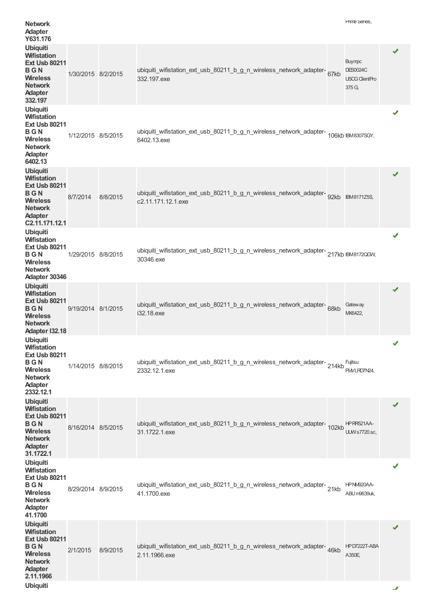| <b>Network</b><br><b>Adapter</b><br>Y631.176                                                                                                         |                    |          |                                                                                                         | Hrime Series,                                                       |    |
|------------------------------------------------------------------------------------------------------------------------------------------------------|--------------------|----------|---------------------------------------------------------------------------------------------------------|---------------------------------------------------------------------|----|
| <b>Ubiquiti</b><br><b>Wifistation</b><br><b>Ext Usb 80211</b><br>BGN<br><b>Wireless</b><br><b>Network</b><br><b>Adapter</b><br>332.197               | 1/30/2015 8/2/2015 |          | ubiquiti_wifistation_ext_usb_80211_b_g_n_wireless_network_adapter-67kb<br>332.197.exe                   | <b>Buympc</b><br><b>DES0024C</b><br><b>USCG ClientPro</b><br>375 G, | ✔  |
| <b>Ubiquiti</b><br><b>Wifistation</b><br><b>Ext Usb 80211</b><br>BGN<br><b>Wireless</b><br><b>Network</b><br>Adapter<br>6402.13                      | 1/12/2015 8/5/2015 |          | ubiquiti_wifistation_ext_usb_80211_b_g_n_wireless_network_adapter-<br>106kb IBM8307SGY,<br>6402.13.exe  |                                                                     | ✔  |
| <b>Ubiquiti</b><br><b>Wifistation</b><br><b>Ext Usb 80211</b><br><b>BGN</b><br><b>Wireless</b><br><b>Network</b><br><b>Adapter</b><br>C2.11.171.12.1 | 8/7/2014           | 8/8/2015 | ubiquiti_wifistation_ext_usb_80211_b_g_n_wireless_network_adapter-92kb BM8171Z5S,<br>c2.11.171.12.1.exe |                                                                     | ✔  |
| <b>Ubiquiti</b><br><b>Wifistation</b><br><b>Ext Usb 80211</b><br>BGN<br><b>Wireless</b><br><b>Network</b><br>Adapter 30346                           | 1/29/2015 8/8/2015 |          | ubiquiti_wifistation_ext_usb_80211_b_g_n_wireless_network_adapter-217kb BM8172QGW,<br>30346.exe         |                                                                     | ✔  |
| <b>Ubiquiti</b><br><b>Wifistation</b><br><b>Ext Usb 80211</b><br><b>BGN</b><br><b>Wireless</b><br><b>Network</b><br>Adapter I32.18                   | 9/19/2014 8/1/2015 |          | ubiquiti_wifistation_ext_usb_80211_b_g_n_wireless_network_adapter-68kb<br>i32.18.exe                    | Gatew ay<br>MX6422,                                                 | ✔  |
| <b>Ubiquiti</b><br><b>Wifistation</b><br><b>Ext Usb 80211</b><br><b>BGN</b><br><b>Wireless</b><br><b>Network</b><br><b>Adapter</b><br>2332.12.1      | 1/14/2015 8/8/2015 |          | ubiquiti_wifistation_ext_usb_80211_b_g_n_wireless_network_adapter-214kb<br>2332.12.1.exe                | Fujitsu<br>FM/LRD7N24,                                              | ✔  |
| <b>Ubiquiti</b><br><b>Wifistation</b><br><b>Ext Usb 80211</b><br>BGN<br><b>Wireless</b><br><b>Network</b><br><b>Adapter</b><br>31.1722.1             | 8/16/2014 8/5/2015 |          | ubiquiti_wifistation_ext_usb_80211_b_g_n_wireless_network_adapter-102kb<br>31.1722.1.exe                | HPRR521AA-<br><b>UUW</b> s7720.sc,                                  | ✔  |
| <b>Ubiquiti</b><br><b>Wifistation</b><br><b>Ext Usb 80211</b><br>BGN<br><b>Wireless</b><br><b>Network</b><br>Adapter<br>41.1700                      | 8/29/2014 8/9/2015 |          | ubiquiti_wifistation_ext_usb_80211_b_g_n_wireless_network_adapter-21kb<br>41.1700.exe                   | HPNM920AA-<br>ABU m9639uk,                                          | ✔  |
| <b>Ubiquiti</b><br><b>Wifistation</b><br><b>Ext Usb 80211</b><br><b>BGN</b><br><b>Wireless</b><br><b>Network</b><br><b>Adapter</b><br>2.11.1966      | 2/1/2015           | 8/9/2015 | ubiquiti_wifistation_ext_usb_80211_b_g_n_wireless_network_adapter-46kb<br>2.11.1966.exe                 | HPD7222T-ABA<br>A350E                                               | ✔  |
| <b>Ubiquiti</b>                                                                                                                                      |                    |          |                                                                                                         |                                                                     | مد |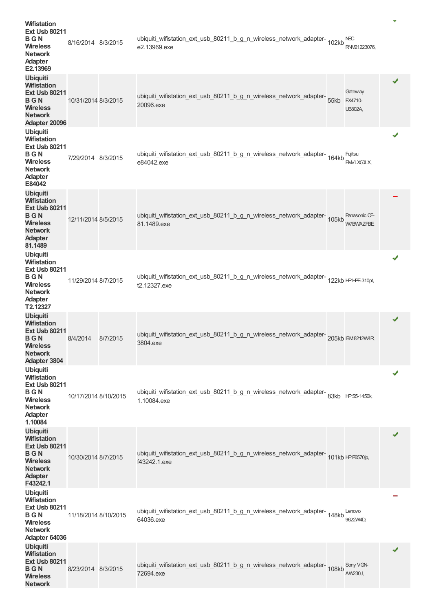| <b>Wifistation</b><br><b>Ext Usb 80211</b><br>BGN<br><b>Wireless</b><br><b>Network</b><br>Adapter<br>E2.13969                                  | 8/16/2014 8/3/2015   |          | ubiquiti_wifistation_ext_usb_80211_b_g_n_wireless_network_adapter-<br>102kb<br>e2.13969.exe            | <b>NEC</b><br>RNM21223076.            | v |  |
|------------------------------------------------------------------------------------------------------------------------------------------------|----------------------|----------|--------------------------------------------------------------------------------------------------------|---------------------------------------|---|--|
| <b>Ubiquiti</b><br><b>Wifistation</b><br><b>Ext Usb 80211</b><br>BGN<br><b>Wireless</b><br><b>Network</b><br>Adapter 20096                     | 10/31/2014 8/3/2015  |          | ubiquiti_wifistation_ext_usb_80211_b_g_n_wireless_network_adapter-<br>55kb<br>20096.exe                | Gatew ay<br>FX4710-<br><b>UB802A,</b> | ✔ |  |
| <b>Ubiquiti</b><br><b>Wifistation</b><br><b>Ext Usb 80211</b><br>BGN<br><b>Wireless</b><br><b>Network</b><br>Adapter<br>E84042                 | 7/29/2014 8/3/2015   |          | ubiquiti_wifistation_ext_usb_80211_b_g_n_wireless_network_adapter-<br>164kb<br>e84042.exe              | Fujitsu<br>FMVLX50LX,                 | ✔ |  |
| <b>Ubiquiti</b><br><b>Wifistation</b><br><b>Ext Usb 80211</b><br><b>BGN</b><br><b>Wireless</b><br><b>Network</b><br><b>Adapter</b><br>81.1489  | 12/11/2014 8/5/2015  |          | ubiquiti_wifistation_ext_usb_80211_b_g_n_wireless_network_adapter-<br>105kb<br>81.1489.exe             | Panasonic CF-<br><b>W7BWAZFBE</b>     |   |  |
| <b>Ubiquiti</b><br><b>Wifistation</b><br><b>Ext Usb 80211</b><br><b>BGN</b><br><b>Wireless</b><br><b>Network</b><br><b>Adapter</b><br>T2.12327 | 11/29/2014 8/7/2015  |          | ubiquiti_wifistation_ext_usb_80211_b_g_n_wireless_network_adapter-<br>122kb HPHE310pt,<br>t2.12327.exe |                                       | ✔ |  |
| <b>Ubiquiti</b><br><b>Wifistation</b><br><b>Ext Usb 80211</b><br>BGN<br><b>Wireless</b><br><b>Network</b><br><b>Adapter 3804</b>               | 8/4/2014             | 8/7/2015 | ubiquiti_wifistation_ext_usb_80211_b_g_n_wireless_network_adapter-205kb IBM8212W4R<br>3804.exe         |                                       | ✔ |  |
| <b>Ubiquiti</b><br><b>Wifistation</b><br><b>Ext Usb 80211</b><br><b>BGN</b><br><b>Wireless</b><br><b>Network</b><br>Adapter<br>1.10084         | 10/17/2014 8/10/2015 |          | ubiquiti_wifistation_ext_usb_80211_b_g_n_wireless_network_adapter-83kb HPS5-1450k,<br>1.10084.exe      |                                       | ✔ |  |
| <b>Ubiquiti</b><br><b>Wifistation</b><br><b>Ext Usb 80211</b><br><b>BGN</b><br><b>Wireless</b><br><b>Network</b><br><b>Adapter</b><br>F43242.1 | 10/30/2014 8/7/2015  |          | ubiquiti_wifistation_ext_usb_80211_b_g_n_wireless_network_adapter-<br>101kb +PF6570jp,<br>f43242.1.exe |                                       | ✔ |  |
| <b>Ubiquiti</b><br><b>Wifistation</b><br><b>Ext Usb 80211</b><br>BGN<br><b>Wireless</b><br><b>Network</b><br>Adapter 64036                     | 11/18/2014 8/10/2015 |          | ubiquiti_wifistation_ext_usb_80211_b_g_n_wireless_network_adapter-<br>148kb<br>64036.exe               | Lenovo<br>9622W4D,                    |   |  |
| <b>Ubiquiti</b><br><b>Wifistation</b><br><b>Ext Usb 80211</b><br>BGN<br><b>Wireless</b><br><b>Network</b>                                      | 8/23/2014 8/3/2015   |          | ubiquiti_wifistation_ext_usb_80211_b_g_n_wireless_network_adapter-<br>108kb<br>72694.exe               | Sony VGN-<br>AW230J,                  | ✔ |  |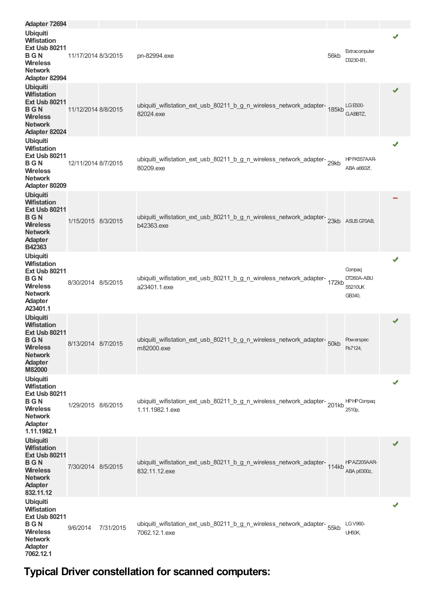| Adapter 72694                                                                                                                                |                     |           |                                                                                              |      |                                                  |   |
|----------------------------------------------------------------------------------------------------------------------------------------------|---------------------|-----------|----------------------------------------------------------------------------------------------|------|--------------------------------------------------|---|
| <b>Ubiquiti</b><br><b>Wifistation</b><br><b>Ext Usb 80211</b><br>BGN<br><b>Wireless</b><br><b>Network</b><br>Adapter 82994                   | 11/17/2014 8/3/2015 |           | pn-82994.exe                                                                                 | 56kb | Extracomputer<br>D3230-B1,                       | ✔ |
| <b>Ubiquiti</b><br><b>Wifistation</b><br><b>Ext Usb 80211</b><br><b>BGN</b><br><b>Wireless</b><br><b>Network</b><br>Adapter 82024            | 11/12/2014 8/8/2015 |           | ubiquiti_wifistation_ext_usb_80211_b_g_n_wireless_network_adapter-185kb<br>82024.exe         |      | LG E500-<br>G.ABBTZ,                             |   |
| <b>Ubiquiti</b><br><b>Wifistation</b><br><b>Ext Usb 80211</b><br>BGN<br><b>Wireless</b><br><b>Network</b><br>Adapter 80209                   | 12/11/2014 8/7/2015 |           | ubiquiti_wifistation_ext_usb_80211_b_g_n_wireless_network_adapter-29kb<br>80209.exe          |      | HPFK557AAR-<br>ABA a6602f,                       | ✔ |
| <b>Ubiquiti</b><br><b>Wifistation</b><br><b>Ext Usb 80211</b><br>BGN<br><b>Wireless</b><br><b>Network</b><br><b>Adapter</b><br>B42363        | 1/15/2015 8/3/2015  |           | ubiquiti_wifistation_ext_usb_80211_b_g_n_wireless_network_adapter-23kb<br>b42363.exe         |      | ASUS G70AB,                                      |   |
| <b>Ubiquiti</b><br><b>Wifistation</b><br><b>Ext Usb 80211</b><br>BGN<br><b>Wireless</b><br><b>Network</b><br>Adapter<br>A23401.1             | 8/30/2014 8/5/2015  |           | ubiquiti_wifistation_ext_usb_80211_b_g_n_wireless_network_adapter-<br>172kb<br>a23401.1.exe  |      | Compaq<br>DT260A-ABU<br><b>S5210UK</b><br>GB340, | ✔ |
| <b>Ubiquiti</b><br><b>Wifistation</b><br><b>Ext Usb 80211</b><br><b>BGN</b><br><b>Wireless</b><br><b>Network</b><br><b>Adapter</b><br>M82000 | 8/13/2014 8/7/2015  |           | ubiquiti_wifistation_ext_usb_80211_b_g_n_wireless_network_adapter-<br>m82000.exe             |      | <b>Powerspec</b><br>Ps7124,                      | ✔ |
| <b>Ubiquiti</b><br><b>Wifistation</b><br><b>Ext Usb 80211</b><br><b>BGN</b><br><b>Wireless</b><br><b>Network</b><br>Adapter<br>1.11.1982.1   | 1/29/2015 8/6/2015  |           | ubiquiti_wifistation_ext_usb_80211_b_g_n_wireless_network_adapter-201kb<br>1.11.1982.1.exe   |      | <b>HPHPCompag</b><br>2510p,                      | ✔ |
| <b>Ubiquiti</b><br><b>Wifistation</b><br><b>Ext Usb 80211</b><br>BGN<br><b>Wireless</b><br><b>Network</b><br><b>Adapter</b><br>832.11.12     | 7/30/2014 8/5/2015  |           | ubiquiti_wifistation_ext_usb_80211_b_g_n_wireless_network_adapter-<br>114kb<br>832.11.12.exe |      | HPAZ205AAR-<br>ABA p6300z,                       | ✔ |
| <b>Ubiquiti</b><br><b>Wifistation</b><br><b>Ext Usb 80211</b><br><b>BGN</b><br><b>Wireless</b><br><b>Network</b><br>Adapter<br>7062.12.1     | 9/6/2014            | 7/31/2015 | ubiquiti_wifistation_ext_usb_80211_b_g_n_wireless_network_adapter-<br>55kb<br>7062.12.1.exe  |      | <b>LG V960-</b><br>UH50K,                        |   |

**Typical Driver constellation for scanned computers:**